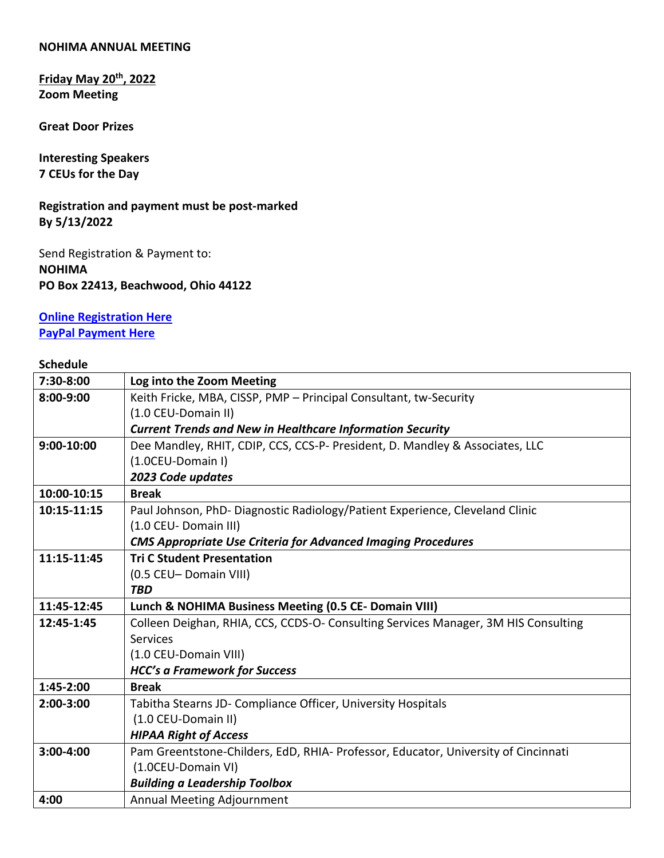#### **NOHIMA ANNUAL MEETING**

**Friday May 20th, 2022 Zoom Meeting**

**Great Door Prizes**

**Interesting Speakers 7 CEUs for the Day**

**Registration and payment must be post-marked By 5/13/2022**

Send Registration & Payment to: **NOHIMA PO Box 22413, Beachwood, Ohio 44122**

**[Online Registration Here](https://us02web.zoom.us/meeting/register/tZIvc--vrzkoGtYF3BzvuljCsdMagdR3MiHU) [PayPal Payment Here](https://ohima.memberclicks.net/northeast-ohio)**

### **Schedule**

| 7:30-8:00      | Log into the Zoom Meeting                                                          |
|----------------|------------------------------------------------------------------------------------|
| 8:00-9:00      | Keith Fricke, MBA, CISSP, PMP - Principal Consultant, tw-Security                  |
|                | (1.0 CEU-Domain II)                                                                |
|                | <b>Current Trends and New in Healthcare Information Security</b>                   |
| $9:00 - 10:00$ | Dee Mandley, RHIT, CDIP, CCS, CCS-P- President, D. Mandley & Associates, LLC       |
|                | (1.0CEU-Domain I)                                                                  |
|                | 2023 Code updates                                                                  |
| 10:00-10:15    | <b>Break</b>                                                                       |
| 10:15-11:15    | Paul Johnson, PhD- Diagnostic Radiology/Patient Experience, Cleveland Clinic       |
|                | (1.0 CEU- Domain III)                                                              |
|                | <b>CMS Appropriate Use Criteria for Advanced Imaging Procedures</b>                |
| 11:15-11:45    | <b>Tri C Student Presentation</b>                                                  |
|                | (0.5 CEU-Domain VIII)                                                              |
|                | <b>TBD</b>                                                                         |
| 11:45-12:45    | Lunch & NOHIMA Business Meeting (0.5 CE- Domain VIII)                              |
| 12:45-1:45     | Colleen Deighan, RHIA, CCS, CCDS-O- Consulting Services Manager, 3M HIS Consulting |
|                | <b>Services</b>                                                                    |
|                | (1.0 CEU-Domain VIII)                                                              |
|                | <b>HCC's a Framework for Success</b>                                               |
| 1:45-2:00      | <b>Break</b>                                                                       |
| $2:00-3:00$    | Tabitha Stearns JD- Compliance Officer, University Hospitals                       |
|                | (1.0 CEU-Domain II)                                                                |
|                | <b>HIPAA Right of Access</b>                                                       |
| $3:00 - 4:00$  | Pam Greentstone-Childers, EdD, RHIA- Professor, Educator, University of Cincinnati |
|                | (1.0CEU-Domain VI)                                                                 |
|                | <b>Building a Leadership Toolbox</b>                                               |
| 4:00           | Annual Meeting Adjournment                                                         |
|                |                                                                                    |